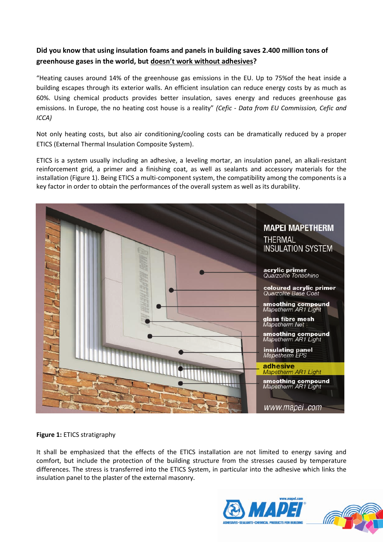# **Did you know that using insulation foams and panels in building saves 2.400 million tons of greenhouse gases in the world, but doesn't work without adhesives?**

"Heating causes around 14% of the greenhouse gas emissions in the EU. Up to 75%of the heat inside a building escapes through its exterior walls. An efficient insulation can reduce energy costs by as much as 60%. Using chemical products provides better insulation, saves energy and reduces greenhouse gas emissions. In Europe, the no heating cost house is a reality" *(Cefic - Data from EU Commission, Cefic and ICCA)* 

Not only heating costs, but also air conditioning/cooling costs can be dramatically reduced by a proper ETICS (External Thermal Insulation Composite System).

ETICS is a system usually including an adhesive, a leveling mortar, an insulation panel, an alkali-resistant reinforcement grid, a primer and a finishing coat, as well as sealants and accessory materials for the installation (Figure 1). Being ETICS a multi-component system, the compatibility among the components is a key factor in order to obtain the performances of the overall system as well as its durability.



### **Figure 1:** ETICS stratigraphy

It shall be emphasized that the effects of the ETICS installation are not limited to energy saving and comfort, but include the protection of the building structure from the stresses caused by temperature differences. The stress is transferred into the ETICS System, in particular into the adhesive which links the insulation panel to the plaster of the external masonry.

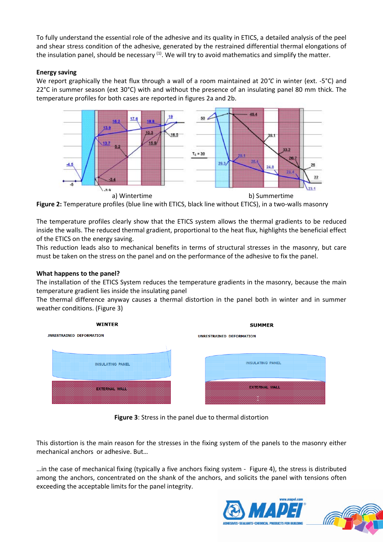To fully understand the essential role of the adhesive and its quality in ETICS, a detailed analysis of the peel and shear stress condition of the adhesive, generated by the restrained differential thermal elongations of the insulation panel, should be necessary <sup>(1)</sup>. We will try to avoid mathematics and simplify the matter.

## **Energy saving**

We report graphically the heat flux through a wall of a room maintained at 20*°C* in winter (ext. -5°C) and 22°C in summer season (ext 30°C) with and without the presence of an insulating panel 80 mm thick. The temperature profiles for both cases are reported in figures 2a and 2b.



**Figure 2:** Temperature profiles (blue line with ETICS, black line without ETICS), in a two-walls masonry

The temperature profiles clearly show that the ETICS system allows the thermal gradients to be reduced inside the walls. The reduced thermal gradient, proportional to the heat flux, highlights the beneficial effect of the ETICS on the energy saving.

This reduction leads also to mechanical benefits in terms of structural stresses in the masonry, but care must be taken on the stress on the panel and on the performance of the adhesive to fix the panel.

## **What happens to the panel?**

The installation of the ETICS System reduces the temperature gradients in the masonry, because the main temperature gradient lies inside the insulating panel

The thermal difference anyway causes a thermal distortion in the panel both in winter and in summer weather conditions. (Figure 3)



**Figure 3**: Stress in the panel due to thermal distortion

This distortion is the main reason for the stresses in the fixing system of the panels to the masonry either mechanical anchors or adhesive. But…

…in the case of mechanical fixing (typically a five anchors fixing system - Figure 4), the stress is distributed among the anchors, concentrated on the shank of the anchors, and solicits the panel with tensions often exceeding the acceptable limits for the panel integrity.